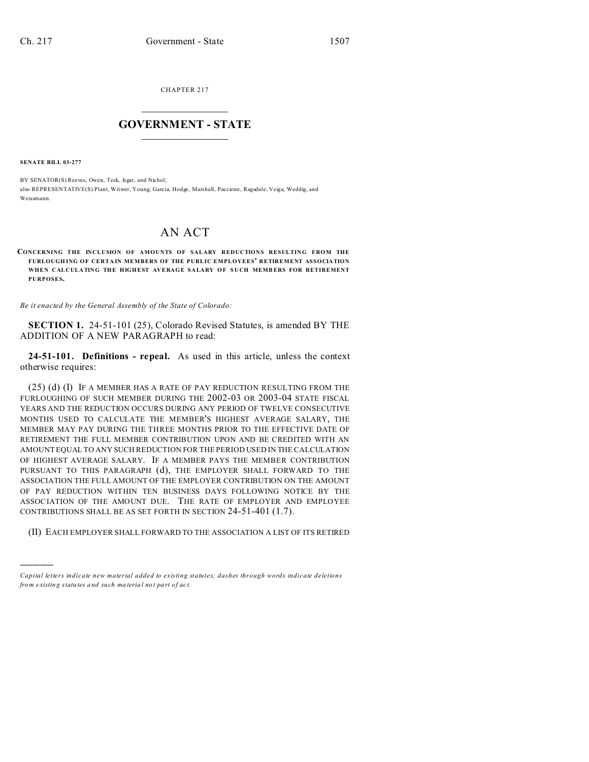CHAPTER 217  $\overline{\phantom{a}}$  , where  $\overline{\phantom{a}}$ 

## **GOVERNMENT - STATE**  $\_$   $\_$

**SENATE BILL 03-277**

)))))

BY SENATOR(S) Reeves, Owen, Teck, Isgar, and Nichol; also REPRESENTATIVE(S) Plant, Witwer, Young, Garcia, Hodge, Marshall, Paccione, Ragsdale, Veiga, Weddig, and Weissmann.

## AN ACT

**CONCERNING THE INCLUSION OF AMOUNTS OF SALARY REDUCTIONS RESULTING FROM THE FURLOUGH ING OF CERTA IN MEMBERS OF THE PUBLIC EMPLOYEES' RETIREMENT ASSOCIATION** WHEN CALCULATING THE HIGHEST AVERAGE SALARY OF SUCH MEMBERS FOR RETIREMENT **PURPOSES.**

*Be it enacted by the General Assembly of the State of Colorado:*

**SECTION 1.** 24-51-101 (25), Colorado Revised Statutes, is amended BY THE ADDITION OF A NEW PARAGRAPH to read:

**24-51-101. Definitions - repeal.** As used in this article, unless the context otherwise requires:

(25) (d) (I) IF A MEMBER HAS A RATE OF PAY REDUCTION RESULTING FROM THE FURLOUGHING OF SUCH MEMBER DURING THE 2002-03 OR 2003-04 STATE FISCAL YEARS AND THE REDUCTION OCCURS DURING ANY PERIOD OF TWELVE CONSECUTIVE MONTHS USED TO CALCULATE THE MEMBER'S HIGHEST AVERAGE SALARY, THE MEMBER MAY PAY DURING THE THREE MONTHS PRIOR TO THE EFFECTIVE DATE OF RETIREMENT THE FULL MEMBER CONTRIBUTION UPON AND BE CREDITED WITH AN AMOUNT EQUAL TO ANY SUCH REDUCTION FOR THE PERIOD USED IN THE CALCULATION OF HIGHEST AVERAGE SALARY. IF A MEMBER PAYS THE MEMBER CONTRIBUTION PURSUANT TO THIS PARAGRAPH (d), THE EMPLOYER SHALL FORWARD TO THE ASSOCIATION THE FULL AMOUNT OF THE EMPLOYER CONTRIBUTION ON THE AMOUNT OF PAY REDUCTION WITHIN TEN BUSINESS DAYS FOLLOWING NOTICE BY THE ASSOCIATION OF THE AMOUNT DUE. THE RATE OF EMPLOYER AND EMPLOYEE CONTRIBUTIONS SHALL BE AS SET FORTH IN SECTION 24-51-401 (1.7).

(II) EACH EMPLOYER SHALL FORWARD TO THE ASSOCIATION A LIST OF ITS RETIRED

*Capital letters indicate new material added to existing statutes; dashes through words indicate deletions from e xistin g statu tes a nd such ma teria l no t pa rt of ac t.*